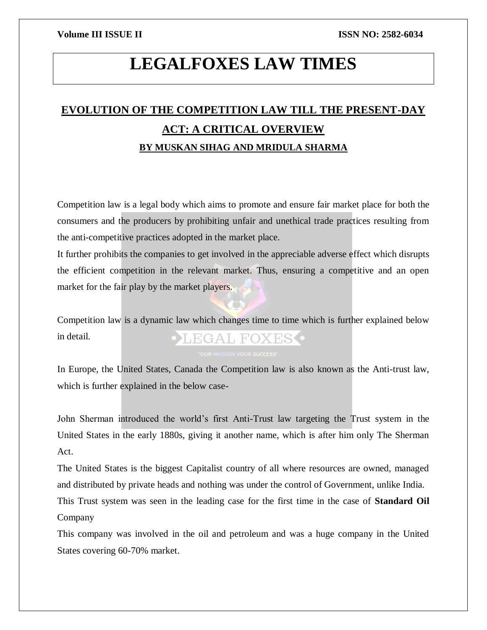# **LEGALFOXES LAW TIMES**

## **EVOLUTION OF THE COMPETITION LAW TILL THE PRESENT-DAY ACT: A CRITICAL OVERVIEW BY MUSKAN SIHAG AND MRIDULA SHARMA**

Competition law is a legal body which aims to promote and ensure fair market place for both the consumers and the producers by prohibiting unfair and unethical trade practices resulting from the anti-competitive practices adopted in the market place.

It further prohibits the companies to get involved in the appreciable adverse effect which disrupts the efficient competition in the relevant market. Thus, ensuring a competitive and an open market for the fair play by the market players.

Competition law is a dynamic law which changes time to time which is further explained below in detail. LEGAL FOXES •

In Europe, the United States, Canada the Competition law is also known as the Anti-trust law, which is further explained in the below case-

John Sherman introduced the world's first Anti-Trust law targeting the Trust system in the United States in the early 1880s, giving it another name, which is after him only The Sherman Act.

The United States is the biggest Capitalist country of all where resources are owned, managed and distributed by private heads and nothing was under the control of Government, unlike India.

This Trust system was seen in the leading case for the first time in the case of **Standard Oil** Company

This company was involved in the oil and petroleum and was a huge company in the United States covering 60-70% market.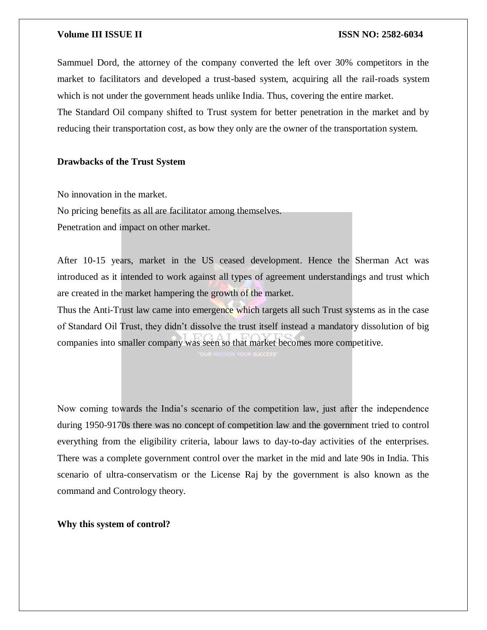Sammuel Dord, the attorney of the company converted the left over 30% competitors in the market to facilitators and developed a trust-based system, acquiring all the rail-roads system which is not under the government heads unlike India. Thus, covering the entire market.

The Standard Oil company shifted to Trust system for better penetration in the market and by reducing their transportation cost, as bow they only are the owner of the transportation system.

#### **Drawbacks of the Trust System**

No innovation in the market.

No pricing benefits as all are facilitator among themselves.

Penetration and impact on other market.

After 10-15 years, market in the US ceased development. Hence the Sherman Act was introduced as it intended to work against all types of agreement understandings and trust which are created in the market hampering the growth of the market.

Thus the Anti-Trust law came into emergence which targets all such Trust systems as in the case of Standard Oil Trust, they didn't dissolve the trust itself instead a mandatory dissolution of big companies into smaller company was seen so that market becomes more competitive.

Now coming towards the India's scenario of the competition law, just after the independence during 1950-9170s there was no concept of competition law and the government tried to control everything from the eligibility criteria, labour laws to day-to-day activities of the enterprises. There was a complete government control over the market in the mid and late 90s in India. This scenario of ultra-conservatism or the License Raj by the government is also known as the command and Contrology theory.

**Why this system of control?**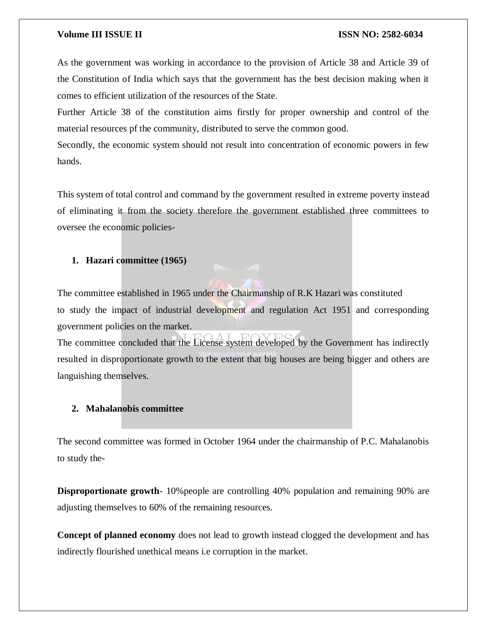#### **Volume III ISSUE II ISSUE II ISSN NO:** 2582-6034

As the government was working in accordance to the provision of Article 38 and Article 39 of the Constitution of India which says that the government has the best decision making when it comes to efficient utilization of the resources of the State.

Further Article 38 of the constitution aims firstly for proper ownership and control of the material resources pf the community, distributed to serve the common good.

Secondly, the economic system should not result into concentration of economic powers in few hands.

This system of total control and command by the government resulted in extreme poverty instead of eliminating it from the society therefore the government established three committees to oversee the economic policies-

#### **1. Hazari committee (1965)**

The committee established in 1965 under the Chairmanship of R.K Hazari was constituted to study the impact of industrial development and regulation Act 1951 and corresponding government policies on the market.

The committee concluded that the License system developed by the Government has indirectly resulted in disproportionate growth to the extent that big houses are being bigger and others are languishing themselves.

### **2. Mahalanobis committee**

The second committee was formed in October 1964 under the chairmanship of P.C. Mahalanobis to study the-

**Disproportionate growth**-10% people are controlling 40% population and remaining 90% are adjusting themselves to 60% of the remaining resources.

**Concept of planned economy** does not lead to growth instead clogged the development and has indirectly flourished unethical means i.e corruption in the market.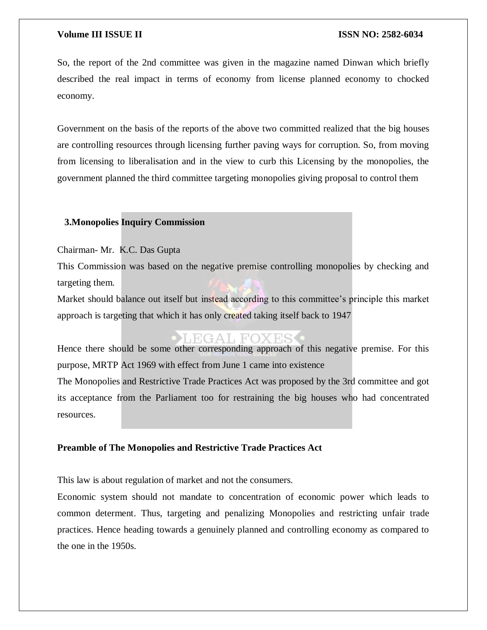So, the report of the 2nd committee was given in the magazine named Dinwan which briefly described the real impact in terms of economy from license planned economy to chocked economy.

Government on the basis of the reports of the above two committed realized that the big houses are controlling resources through licensing further paving ways for corruption. So, from moving from licensing to liberalisation and in the view to curb this Licensing by the monopolies, the government planned the third committee targeting monopolies giving proposal to control them

### **3.Monopolies Inquiry Commission**

Chairman- Mr. K.C. Das Gupta

This Commission was based on the negative premise controlling monopolies by checking and targeting them.

Market should balance out itself but instead according to this committee's principle this market approach is targeting that which it has only created taking itself back to 1947

### EGAL FOXES

Hence there should be some other corresponding approach of this negative premise. For this purpose, MRTP Act 1969 with effect from June 1 came into existence

The Monopolies and Restrictive Trade Practices Act was proposed by the 3rd committee and got its acceptance from the Parliament too for restraining the big houses who had concentrated resources.

#### **Preamble of The Monopolies and Restrictive Trade Practices Act**

This law is about regulation of market and not the consumers.

Economic system should not mandate to concentration of economic power which leads to common determent. Thus, targeting and penalizing Monopolies and restricting unfair trade practices. Hence heading towards a genuinely planned and controlling economy as compared to the one in the 1950s.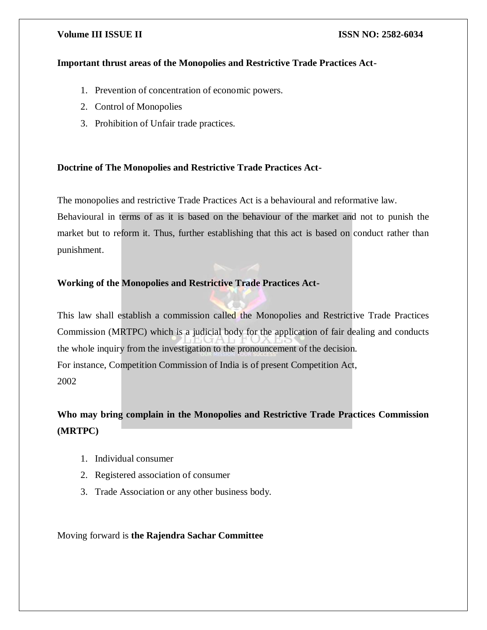#### **Important thrust areas of the Monopolies and Restrictive Trade Practices Act-**

- 1. Prevention of concentration of economic powers.
- 2. Control of Monopolies
- 3. Prohibition of Unfair trade practices.

### **Doctrine of The Monopolies and Restrictive Trade Practices Act-**

The monopolies and restrictive Trade Practices Act is a behavioural and reformative law.

Behavioural in terms of as it is based on the behaviour of the market and not to punish the market but to reform it. Thus, further establishing that this act is based on conduct rather than punishment.

### **Working of the Monopolies and Restrictive Trade Practices Act-**

This law shall establish a commission called the Monopolies and Restrictive Trade Practices Commission (MRTPC) which is a judicial body for the application of fair dealing and conducts the whole inquiry from the investigation to the pronouncement of the decision. For instance, Competition Commission of India is of present Competition Act, 2002

## **Who may bring complain in the Monopolies and Restrictive Trade Practices Commission (MRTPC)**

- 1. Individual consumer
- 2. Registered association of consumer
- 3. Trade Association or any other business body.

### Moving forward is **the Rajendra Sachar Committee**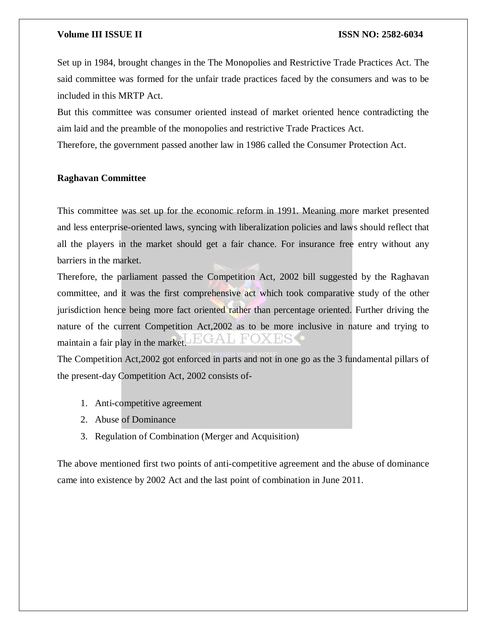Set up in 1984, brought changes in the The Monopolies and Restrictive Trade Practices Act. The said committee was formed for the unfair trade practices faced by the consumers and was to be included in this MRTP Act.

But this committee was consumer oriented instead of market oriented hence contradicting the aim laid and the preamble of the monopolies and restrictive Trade Practices Act.

Therefore, the government passed another law in 1986 called the Consumer Protection Act.

#### **Raghavan Committee**

This committee was set up for the economic reform in 1991. Meaning more market presented and less enterprise-oriented laws, syncing with liberalization policies and laws should reflect that all the players in the market should get a fair chance. For insurance free entry without any barriers in the market.

Therefore, the parliament passed the Competition Act, 2002 bill suggested by the Raghavan committee, and it was the first comprehensive act which took comparative study of the other jurisdiction hence being more fact oriented rather than percentage oriented. Further driving the nature of the current Competition Act,2002 as to be more inclusive in nature and trying to maintain a fair play in the market.

The Competition Act,2002 got enforced in parts and not in one go as the 3 fundamental pillars of the present-day Competition Act, 2002 consists of-

- 1. Anti-competitive agreement
- 2. Abuse of Dominance
- 3. Regulation of Combination (Merger and Acquisition)

The above mentioned first two points of anti-competitive agreement and the abuse of dominance came into existence by 2002 Act and the last point of combination in June 2011.